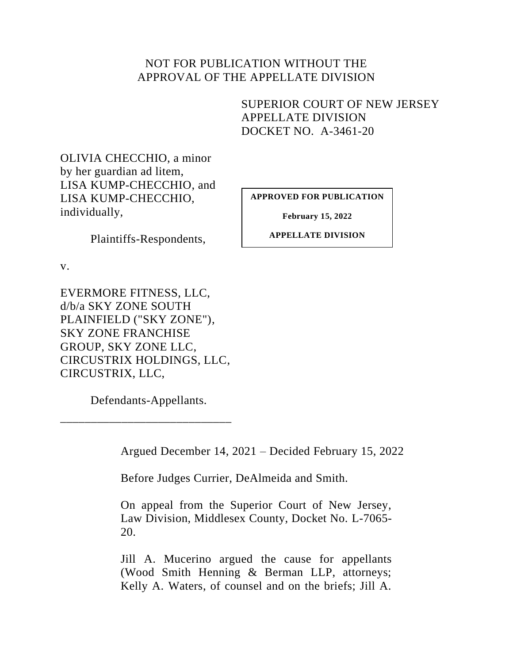## NOT FOR PUBLICATION WITHOUT THE APPROVAL OF THE APPELLATE DIVISION

SUPERIOR COURT OF NEW JERSEY APPELLATE DIVISION DOCKET NO. A-3461-20

OLIVIA CHECCHIO, a minor by her guardian ad litem, LISA KUMP-CHECCHIO, and LISA KUMP-CHECCHIO, individually,

Plaintiffs-Respondents,

v.

EVERMORE FITNESS, LLC, d/b/a SKY ZONE SOUTH PLAINFIELD ("SKY ZONE"), SKY ZONE FRANCHISE GROUP, SKY ZONE LLC, CIRCUSTRIX HOLDINGS, LLC, CIRCUSTRIX, LLC,

Defendants-Appellants.

\_\_\_\_\_\_\_\_\_\_\_\_\_\_\_\_\_\_\_\_\_\_\_\_\_\_\_\_

Argued December 14, 2021 – Decided February 15, 2022

Before Judges Currier, DeAlmeida and Smith.

On appeal from the Superior Court of New Jersey, Law Division, Middlesex County, Docket No. L-7065- 20.

Jill A. Mucerino argued the cause for appellants (Wood Smith Henning & Berman LLP, attorneys; Kelly A. Waters, of counsel and on the briefs; Jill A.

**APPROVED FOR PUBLICATION**

**February 15, 2022**

**APPELLATE DIVISION**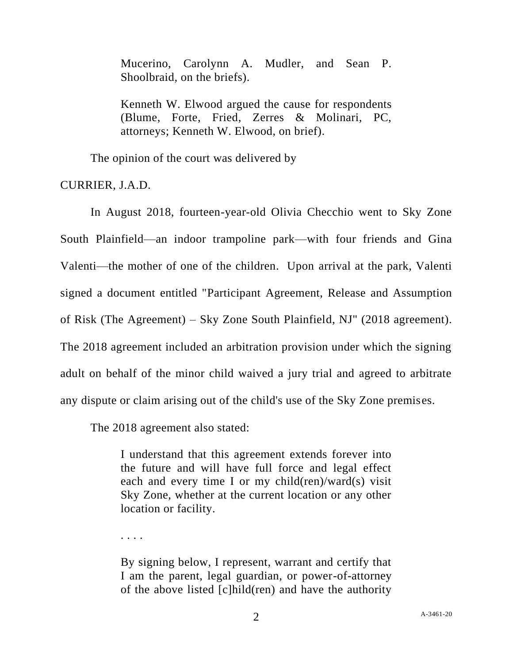Mucerino, Carolynn A. Mudler, and Sean P. Shoolbraid, on the briefs).

Kenneth W. Elwood argued the cause for respondents (Blume, Forte, Fried, Zerres & Molinari, PC, attorneys; Kenneth W. Elwood, on brief).

The opinion of the court was delivered by

CURRIER, J.A.D.

In August 2018, fourteen-year-old Olivia Checchio went to Sky Zone South Plainfield—an indoor trampoline park—with four friends and Gina Valenti—the mother of one of the children. Upon arrival at the park, Valenti signed a document entitled "Participant Agreement, Release and Assumption of Risk (The Agreement) – Sky Zone South Plainfield, NJ" (2018 agreement). The 2018 agreement included an arbitration provision under which the signing adult on behalf of the minor child waived a jury trial and agreed to arbitrate any dispute or claim arising out of the child's use of the Sky Zone premises.

The 2018 agreement also stated:

I understand that this agreement extends forever into the future and will have full force and legal effect each and every time I or my child(ren)/ward(s) visit Sky Zone, whether at the current location or any other location or facility.

. . . .

By signing below, I represent, warrant and certify that I am the parent, legal guardian, or power-of-attorney of the above listed [c]hild(ren) and have the authority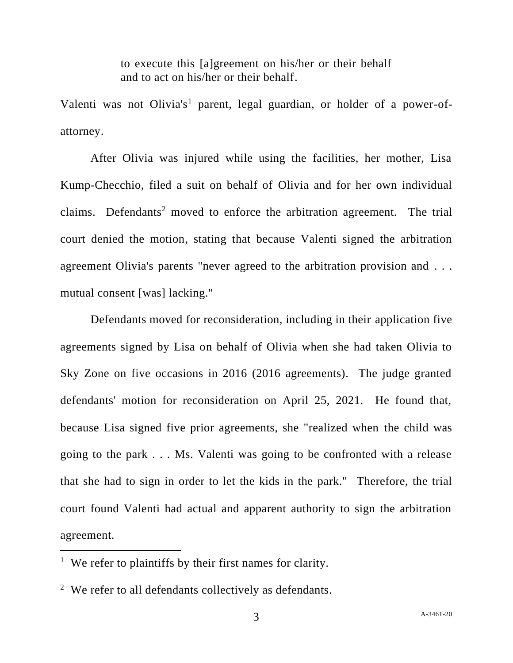to execute this [a]greement on his/her or their behalf and to act on his/her or their behalf.

Valenti was not Olivia's<sup>1</sup> parent, legal guardian, or holder of a power-ofattorney.

After Olivia was injured while using the facilities, her mother, Lisa Kump-Checchio, filed a suit on behalf of Olivia and for her own individual claims. Defendants<sup>2</sup> moved to enforce the arbitration agreement. The trial court denied the motion, stating that because Valenti signed the arbitration agreement Olivia's parents "never agreed to the arbitration provision and . . . mutual consent [was] lacking."

Defendants moved for reconsideration, including in their application five agreements signed by Lisa on behalf of Olivia when she had taken Olivia to Sky Zone on five occasions in 2016 (2016 agreements). The judge granted defendants' motion for reconsideration on April 25, 2021. He found that, because Lisa signed five prior agreements, she "realized when the child was going to the park . . . Ms. Valenti was going to be confronted with a release that she had to sign in order to let the kids in the park." Therefore, the trial court found Valenti had actual and apparent authority to sign the arbitration agreement.

<sup>&</sup>lt;sup>1</sup> We refer to plaintiffs by their first names for clarity.

 $2$  We refer to all defendants collectively as defendants.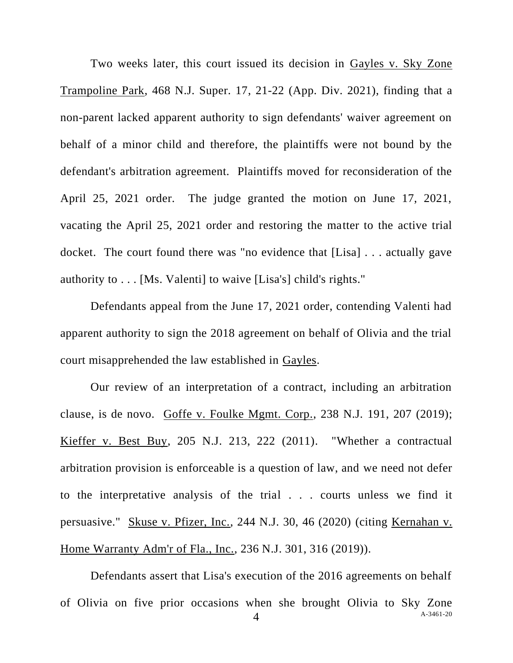Two weeks later, this court issued its decision in Gayles v. Sky Zone Trampoline Park, 468 N.J. Super. 17, 21-22 (App. Div. 2021), finding that a non-parent lacked apparent authority to sign defendants' waiver agreement on behalf of a minor child and therefore, the plaintiffs were not bound by the defendant's arbitration agreement. Plaintiffs moved for reconsideration of the April 25, 2021 order. The judge granted the motion on June 17, 2021, vacating the April 25, 2021 order and restoring the matter to the active trial docket. The court found there was "no evidence that [Lisa] . . . actually gave authority to . . . [Ms. Valenti] to waive [Lisa's] child's rights."

Defendants appeal from the June 17, 2021 order, contending Valenti had apparent authority to sign the 2018 agreement on behalf of Olivia and the trial court misapprehended the law established in Gayles.

Our review of an interpretation of a contract, including an arbitration clause, is de novo. Goffe v. Foulke Mgmt. Corp., 238 N.J. 191, 207 (2019); Kieffer v. Best Buy, 205 N.J. 213, 222 (2011). "Whether a contractual arbitration provision is enforceable is a question of law, and we need not defer to the interpretative analysis of the trial . . . courts unless we find it persuasive." Skuse v. Pfizer, Inc., 244 N.J. 30, 46 (2020) (citing Kernahan v. Home Warranty Adm'r of Fla., Inc., 236 N.J. 301, 316 (2019)).

A-3461-20 4 Defendants assert that Lisa's execution of the 2016 agreements on behalf of Olivia on five prior occasions when she brought Olivia to Sky Zone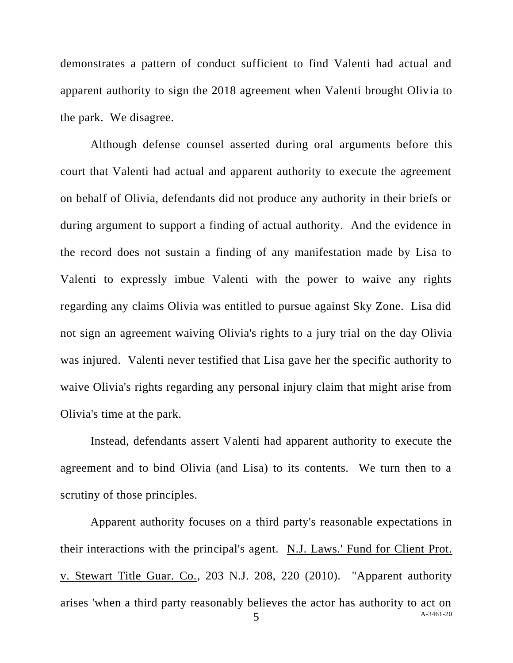demonstrates a pattern of conduct sufficient to find Valenti had actual and apparent authority to sign the 2018 agreement when Valenti brought Olivia to the park. We disagree.

Although defense counsel asserted during oral arguments before this court that Valenti had actual and apparent authority to execute the agreement on behalf of Olivia, defendants did not produce any authority in their briefs or during argument to support a finding of actual authority. And the evidence in the record does not sustain a finding of any manifestation made by Lisa to Valenti to expressly imbue Valenti with the power to waive any rights regarding any claims Olivia was entitled to pursue against Sky Zone. Lisa did not sign an agreement waiving Olivia's rights to a jury trial on the day Olivia was injured. Valenti never testified that Lisa gave her the specific authority to waive Olivia's rights regarding any personal injury claim that might arise from Olivia's time at the park.

Instead, defendants assert Valenti had apparent authority to execute the agreement and to bind Olivia (and Lisa) to its contents. We turn then to a scrutiny of those principles.

 $\overline{5}$  A-3461-20 Apparent authority focuses on a third party's reasonable expectations in their interactions with the principal's agent. N.J. Laws.' Fund for Client Prot. v. Stewart Title Guar. Co., 203 N.J. 208, 220 (2010). "Apparent authority arises 'when a third party reasonably believes the actor has authority to act on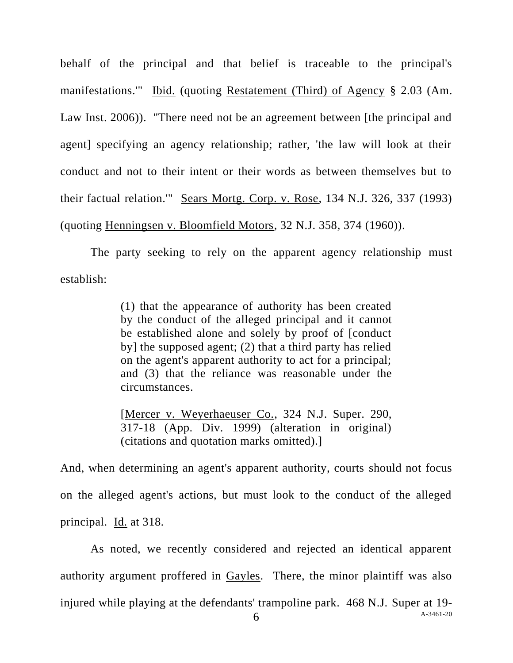behalf of the principal and that belief is traceable to the principal's manifestations.'" Ibid. (quoting Restatement (Third) of Agency § 2.03 (Am. Law Inst. 2006)). "There need not be an agreement between [the principal and agent] specifying an agency relationship; rather, 'the law will look at their conduct and not to their intent or their words as between themselves but to their factual relation.'" Sears Mortg. Corp. v. Rose, 134 N.J. 326, 337 (1993) (quoting Henningsen v. Bloomfield Motors, 32 N.J. 358, 374 (1960)).

The party seeking to rely on the apparent agency relationship must establish:

> (1) that the appearance of authority has been created by the conduct of the alleged principal and it cannot be established alone and solely by proof of [conduct by] the supposed agent; (2) that a third party has relied on the agent's apparent authority to act for a principal; and (3) that the reliance was reasonable under the circumstances.

> [Mercer v. Weyerhaeuser Co., 324 N.J. Super. 290, 317-18 (App. Div. 1999) (alteration in original) (citations and quotation marks omitted).]

And, when determining an agent's apparent authority, courts should not focus on the alleged agent's actions, but must look to the conduct of the alleged principal. Id. at 318.

As noted, we recently considered and rejected an identical apparent authority argument proffered in Gayles. There, the minor plaintiff was also injured while playing at the defendants' trampoline park. 468 N.J. Super at 19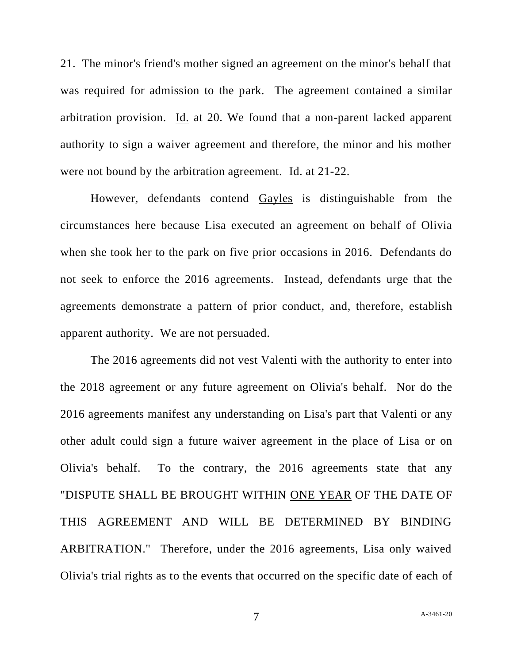21. The minor's friend's mother signed an agreement on the minor's behalf that was required for admission to the park. The agreement contained a similar arbitration provision. Id. at 20. We found that a non-parent lacked apparent authority to sign a waiver agreement and therefore, the minor and his mother were not bound by the arbitration agreement. Id. at 21-22.

However, defendants contend Gayles is distinguishable from the circumstances here because Lisa executed an agreement on behalf of Olivia when she took her to the park on five prior occasions in 2016. Defendants do not seek to enforce the 2016 agreements. Instead, defendants urge that the agreements demonstrate a pattern of prior conduct, and, therefore, establish apparent authority. We are not persuaded.

The 2016 agreements did not vest Valenti with the authority to enter into the 2018 agreement or any future agreement on Olivia's behalf. Nor do the 2016 agreements manifest any understanding on Lisa's part that Valenti or any other adult could sign a future waiver agreement in the place of Lisa or on Olivia's behalf. To the contrary, the 2016 agreements state that any "DISPUTE SHALL BE BROUGHT WITHIN ONE YEAR OF THE DATE OF THIS AGREEMENT AND WILL BE DETERMINED BY BINDING ARBITRATION." Therefore, under the 2016 agreements, Lisa only waived Olivia's trial rights as to the events that occurred on the specific date of each of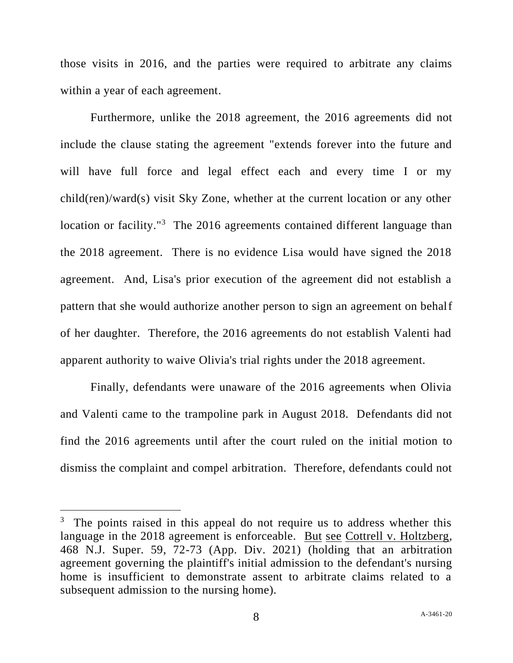those visits in 2016, and the parties were required to arbitrate any claims within a year of each agreement.

Furthermore, unlike the 2018 agreement, the 2016 agreements did not include the clause stating the agreement "extends forever into the future and will have full force and legal effect each and every time I or my child(ren)/ward(s) visit Sky Zone, whether at the current location or any other location or facility."<sup>3</sup> The 2016 agreements contained different language than the 2018 agreement. There is no evidence Lisa would have signed the 2018 agreement. And, Lisa's prior execution of the agreement did not establish a pattern that she would authorize another person to sign an agreement on behalf of her daughter. Therefore, the 2016 agreements do not establish Valenti had apparent authority to waive Olivia's trial rights under the 2018 agreement.

Finally, defendants were unaware of the 2016 agreements when Olivia and Valenti came to the trampoline park in August 2018. Defendants did not find the 2016 agreements until after the court ruled on the initial motion to dismiss the complaint and compel arbitration. Therefore, defendants could not

<sup>&</sup>lt;sup>3</sup> The points raised in this appeal do not require us to address whether this language in the 2018 agreement is enforceable. But see Cottrell v. Holtzberg, 468 N.J. Super. 59, 72-73 (App. Div. 2021) (holding that an arbitration agreement governing the plaintiff's initial admission to the defendant's nursing home is insufficient to demonstrate assent to arbitrate claims related to a subsequent admission to the nursing home).